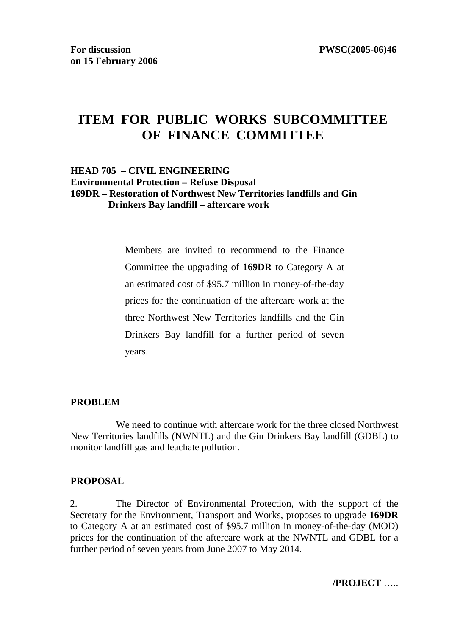# **ITEM FOR PUBLIC WORKS SUBCOMMITTEE OF FINANCE COMMITTEE**

#### **HEAD 705 – CIVIL ENGINEERING Environmental Protection – Refuse Disposal 169DR – Restoration of Northwest New Territories landfills and Gin Drinkers Bay landfill – aftercare work**

Members are invited to recommend to the Finance Committee the upgrading of **169DR** to Category A at an estimated cost of \$95.7 million in money-of-the-day prices for the continuation of the aftercare work at the three Northwest New Territories landfills and the Gin Drinkers Bay landfill for a further period of seven years.

#### **PROBLEM**

 We need to continue with aftercare work for the three closed Northwest New Territories landfills (NWNTL) and the Gin Drinkers Bay landfill (GDBL) to monitor landfill gas and leachate pollution.

#### **PROPOSAL**

2. The Director of Environmental Protection, with the support of the Secretary for the Environment, Transport and Works, proposes to upgrade **169DR**  to Category A at an estimated cost of \$95.7 million in money-of-the-day (MOD) prices for the continuation of the aftercare work at the NWNTL and GDBL for a further period of seven years from June 2007 to May 2014.

**/PROJECT** …..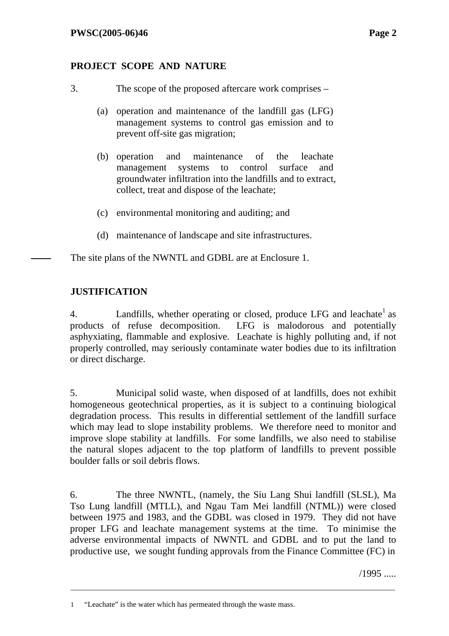### **PROJECT SCOPE AND NATURE**

- 3. The scope of the proposed aftercare work comprises
	- (a) operation and maintenance of the landfill gas (LFG) management systems to control gas emission and to prevent off-site gas migration;
	- (b) operation and maintenance of the leachate management systems to control surface and groundwater infiltration into the landfills and to extract, collect, treat and dispose of the leachate;
	- (c) environmental monitoring and auditing; and
	- (d) maintenance of landscape and site infrastructures.

The site plans of the NWNTL and GDBL are at Enclosure 1.

### **JUSTIFICATION**

4. Landfills, whether operating or closed, produce LFG and leachate  $1$  as products of refuse decomposition. LFG is malodorous and potentially asphyxiating, flammable and explosive. Leachate is highly polluting and, if not properly controlled, may seriously contaminate water bodies due to its infiltration or direct discharge.

5. Municipal solid waste, when disposed of at landfills, does not exhibit homogeneous geotechnical properties, as it is subject to a continuing biological degradation process. This results in differential settlement of the landfill surface which may lead to slope instability problems. We therefore need to monitor and improve slope stability at landfills. For some landfills, we also need to stabilise the natural slopes adjacent to the top platform of landfills to prevent possible boulder falls or soil debris flows.

6. The three NWNTL, (namely, the Siu Lang Shui landfill (SLSL), Ma Tso Lung landfill (MTLL), and Ngau Tam Mei landfill (NTML)) were closed between 1975 and 1983, and the GDBL was closed in 1979. They did not have proper LFG and leachate management systems at the time. To minimise the adverse environmental impacts of NWNTL and GDBL and to put the land to productive use, we sought funding approvals from the Finance Committee (FC) in

\_\_\_\_\_\_\_\_\_\_\_\_\_\_\_\_\_\_\_\_\_\_\_\_\_\_\_\_\_\_\_\_\_\_\_\_\_\_\_\_\_\_\_\_\_\_\_\_\_\_\_\_\_\_\_\_\_\_\_\_\_\_\_\_\_\_\_\_\_\_\_\_\_\_\_\_\_\_\_\_\_\_\_\_\_\_

/1995 .....

<sup>1 &</sup>quot;Leachate" is the water which has permeated through the waste mass.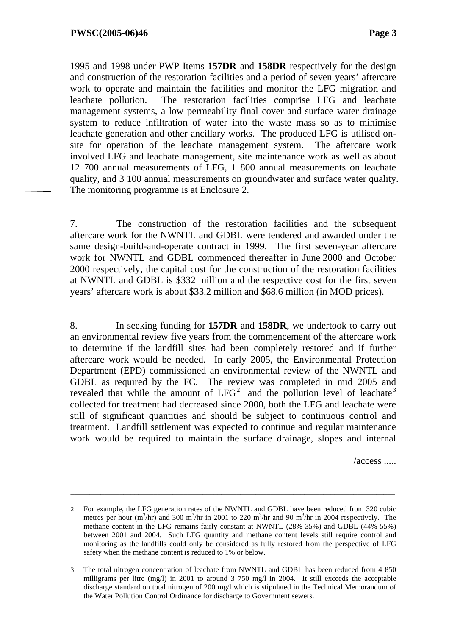1995 and 1998 under PWP Items **157DR** and **158DR** respectively for the design and construction of the restoration facilities and a period of seven years' aftercare work to operate and maintain the facilities and monitor the LFG migration and leachate pollution. The restoration facilities comprise LFG and leachate management systems, a low permeability final cover and surface water drainage system to reduce infiltration of water into the waste mass so as to minimise leachate generation and other ancillary works. The produced LFG is utilised onsite for operation of the leachate management system. The aftercare work involved LFG and leachate management, site maintenance work as well as about 12 700 annual measurements of LFG, 1 800 annual measurements on leachate quality, and 3 100 annual measurements on groundwater and surface water quality. The monitoring programme is at Enclosure 2.

7. The construction of the restoration facilities and the subsequent aftercare work for the NWNTL and GDBL were tendered and awarded under the same design-build-and-operate contract in 1999. The first seven-year aftercare work for NWNTL and GDBL commenced thereafter in June 2000 and October 2000 respectively, the capital cost for the construction of the restoration facilities at NWNTL and GDBL is \$332 million and the respective cost for the first seven years' aftercare work is about \$33.2 million and \$68.6 million (in MOD prices).

8. In seeking funding for **157DR** and **158DR**, we undertook to carry out an environmental review five years from the commencement of the aftercare work to determine if the landfill sites had been completely restored and if further aftercare work would be needed. In early 2005, the Environmental Protection Department (EPD) commissioned an environmental review of the NWNTL and GDBL as required by the FC. The review was completed in mid 2005 and revealed that while the amount of  $LFG<sup>2</sup>$  and the pollution level of leachate<sup>3</sup> collected for treatment had decreased since 2000, both the LFG and leachate were still of significant quantities and should be subject to continuous control and treatment. Landfill settlement was expected to continue and regular maintenance work would be required to maintain the surface drainage, slopes and internal

 $/access$  .....

\_\_\_\_\_\_\_\_\_\_\_\_\_\_\_\_\_\_\_\_\_\_\_\_\_\_\_\_\_\_\_\_\_\_\_\_\_\_\_\_\_\_\_\_\_\_\_\_\_\_\_\_\_\_\_\_\_\_\_\_\_\_\_\_\_\_\_\_\_\_\_\_\_\_\_\_\_\_\_\_\_\_\_\_\_\_

<sup>2</sup> For example, the LFG generation rates of the NWNTL and GDBL have been reduced from 320 cubic metres per hour  $(m^3/hr)$  and 300 m<sup>3</sup>/hr in 2001 to 220 m<sup>3</sup>/hr and 90 m<sup>3</sup>/hr in 2004 respectively. The methane content in the LFG remains fairly constant at NWNTL (28%-35%) and GDBL (44%-55%) between 2001 and 2004. Such LFG quantity and methane content levels still require control and monitoring as the landfills could only be considered as fully restored from the perspective of LFG safety when the methane content is reduced to 1% or below.

<sup>3</sup> The total nitrogen concentration of leachate from NWNTL and GDBL has been reduced from 4 850 milligrams per litre (mg/l) in 2001 to around 3 750 mg/l in 2004. It still exceeds the acceptable discharge standard on total nitrogen of 200 mg/l which is stipulated in the Technical Memorandum of the Water Pollution Control Ordinance for discharge to Government sewers.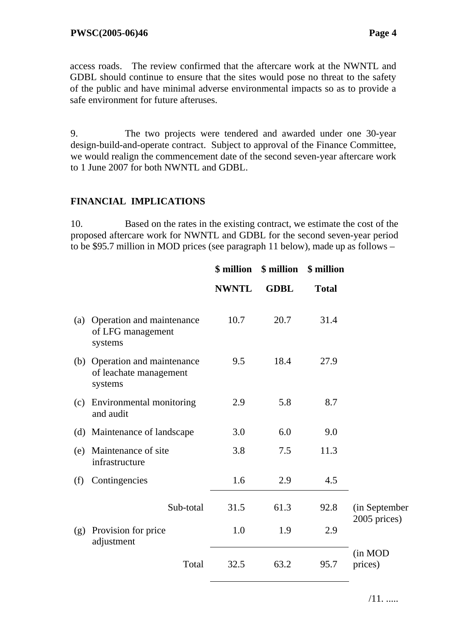access roads. The review confirmed that the aftercare work at the NWNTL and GDBL should continue to ensure that the sites would pose no threat to the safety of the public and have minimal adverse environmental impacts so as to provide a safe environment for future afteruses.

9. The two projects were tendered and awarded under one 30-year design-build-and-operate contract. Subject to approval of the Finance Committee, we would realign the commencement date of the second seven-year aftercare work to 1 June 2007 for both NWNTL and GDBL.

#### **FINANCIAL IMPLICATIONS**

10. Based on the rates in the existing contract, we estimate the cost of the proposed aftercare work for NWNTL and GDBL for the second seven-year period to be \$95.7 million in MOD prices (see paragraph 11 below), made up as follows –

|     |                                                                | \$ million   | \$ million  | \$ million   |                               |
|-----|----------------------------------------------------------------|--------------|-------------|--------------|-------------------------------|
|     |                                                                | <b>NWNTL</b> | <b>GDBL</b> | <b>Total</b> |                               |
| (a) | Operation and maintenance<br>of LFG management<br>systems      | 10.7         | 20.7        | 31.4         |                               |
| (b) | Operation and maintenance<br>of leachate management<br>systems | 9.5          | 18.4        | 27.9         |                               |
| (c) | Environmental monitoring<br>and audit                          | 2.9          | 5.8         | 8.7          |                               |
|     | (d) Maintenance of landscape                                   | 3.0          | 6.0         | 9.0          |                               |
| (e) | Maintenance of site<br>infrastructure                          | 3.8          | 7.5         | 11.3         |                               |
| (f) | Contingencies                                                  | 1.6          | 2.9         | 4.5          |                               |
|     | Sub-total                                                      | 31.5         | 61.3        | 92.8         | (in September<br>2005 prices) |
| (g) | Provision for price<br>adjustment                              | 1.0          | 1.9         | 2.9          |                               |
|     | Total                                                          | 32.5         | 63.2        | 95.7         | (in MOD<br>prices)            |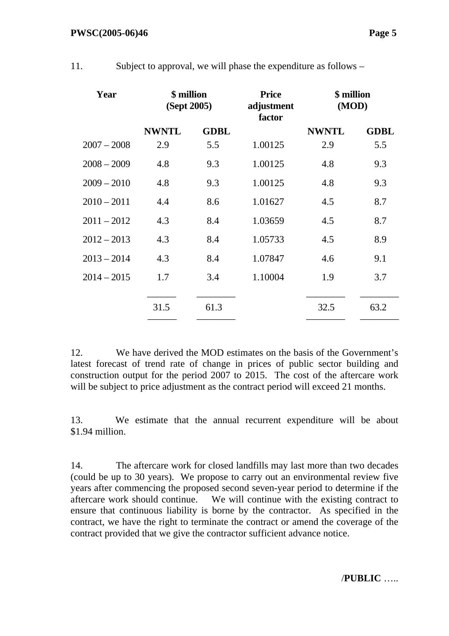| Year          | \$ million<br>(Sept 2005) |             | <b>Price</b><br>adjustment<br>factor | \$ million<br>(MOD) |             |  |
|---------------|---------------------------|-------------|--------------------------------------|---------------------|-------------|--|
|               | <b>NWNTL</b>              | <b>GDBL</b> |                                      | <b>NWNTL</b>        | <b>GDBL</b> |  |
| $2007 - 2008$ | 2.9                       | 5.5         | 1.00125                              | 2.9                 | 5.5         |  |
| $2008 - 2009$ | 4.8                       | 9.3         | 1.00125                              | 4.8                 | 9.3         |  |
| $2009 - 2010$ | 4.8                       | 9.3         | 1.00125                              | 4.8                 | 9.3         |  |
| $2010 - 2011$ | 4.4                       | 8.6         | 1.01627                              | 4.5                 | 8.7         |  |
| $2011 - 2012$ | 4.3                       | 8.4         | 1.03659                              | 4.5                 | 8.7         |  |
| $2012 - 2013$ | 4.3                       | 8.4         | 1.05733                              | 4.5                 | 8.9         |  |
| $2013 - 2014$ | 4.3                       | 8.4         | 1.07847                              | 4.6                 | 9.1         |  |
| $2014 - 2015$ | 1.7                       | 3.4         | 1.10004                              | 1.9                 | 3.7         |  |
|               | 31.5                      | 61.3        |                                      | 32.5                | 63.2        |  |

11. Subject to approval, we will phase the expenditure as follows –

12. We have derived the MOD estimates on the basis of the Government's latest forecast of trend rate of change in prices of public sector building and construction output for the period 2007 to 2015. The cost of the aftercare work will be subject to price adjustment as the contract period will exceed 21 months.

13. We estimate that the annual recurrent expenditure will be about \$1.94 million.

14. The aftercare work for closed landfills may last more than two decades (could be up to 30 years). We propose to carry out an environmental review five years after commencing the proposed second seven-year period to determine if the aftercare work should continue. We will continue with the existing contract to ensure that continuous liability is borne by the contractor. As specified in the contract, we have the right to terminate the contract or amend the coverage of the contract provided that we give the contractor sufficient advance notice.

/**PUBLIC** …..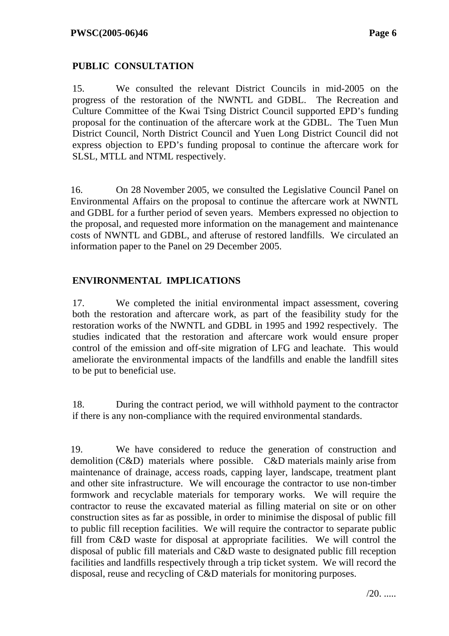### **PUBLIC CONSULTATION**

15. We consulted the relevant District Councils in mid-2005 on the progress of the restoration of the NWNTL and GDBL. The Recreation and Culture Committee of the Kwai Tsing District Council supported EPD's funding proposal for the continuation of the aftercare work at the GDBL. The Tuen Mun District Council, North District Council and Yuen Long District Council did not express objection to EPD's funding proposal to continue the aftercare work for SLSL, MTLL and NTML respectively.

16. On 28 November 2005, we consulted the Legislative Council Panel on Environmental Affairs on the proposal to continue the aftercare work at NWNTL and GDBL for a further period of seven years. Members expressed no objection to the proposal, and requested more information on the management and maintenance costs of NWNTL and GDBL, and afteruse of restored landfills. We circulated an information paper to the Panel on 29 December 2005.

### **ENVIRONMENTAL IMPLICATIONS**

17. We completed the initial environmental impact assessment, covering both the restoration and aftercare work, as part of the feasibility study for the restoration works of the NWNTL and GDBL in 1995 and 1992 respectively. The studies indicated that the restoration and aftercare work would ensure proper control of the emission and off-site migration of LFG and leachate. This would ameliorate the environmental impacts of the landfills and enable the landfill sites to be put to beneficial use.

18. During the contract period, we will withhold payment to the contractor if there is any non-compliance with the required environmental standards.

19. We have considered to reduce the generation of construction and demolition (C&D) materials where possible. C&D materials mainly arise from maintenance of drainage, access roads, capping layer, landscape, treatment plant and other site infrastructure. We will encourage the contractor to use non-timber formwork and recyclable materials for temporary works. We will require the contractor to reuse the excavated material as filling material on site or on other construction sites as far as possible, in order to minimise the disposal of public fill to public fill reception facilities. We will require the contractor to separate public fill from C&D waste for disposal at appropriate facilities. We will control the disposal of public fill materials and C&D waste to designated public fill reception facilities and landfills respectively through a trip ticket system. We will record the disposal, reuse and recycling of C&D materials for monitoring purposes.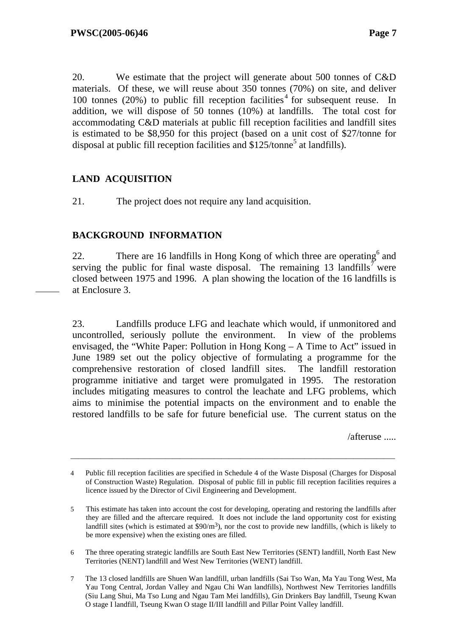20. We estimate that the project will generate about 500 tonnes of C&D materials. Of these, we will reuse about 350 tonnes (70%) on site, and deliver 100 tonnes  $(20%)$  to public fill reception facilities<sup>4</sup> for subsequent reuse. In addition, we will dispose of 50 tonnes (10%) at landfills. The total cost for accommodating C&D materials at public fill reception facilities and landfill sites is estimated to be \$8,950 for this project (based on a unit cost of \$27/tonne for disposal at public fill reception facilities and  $$125/tonne<sup>5</sup>$  at landfills).

### **LAND ACQUISITION**

21. The project does not require any land acquisition.

### **BACKGROUND INFORMATION**

22. There are 16 landfills in Hong Kong of which three are operating  $6$  and serving the public for final waste disposal. The remaining 13 landfills<sup>7</sup> were closed between 1975 and 1996. A plan showing the location of the 16 landfills is at Enclosure 3.

23. Landfills produce LFG and leachate which would, if unmonitored and uncontrolled, seriously pollute the environment. In view of the problems envisaged, the "White Paper: Pollution in Hong Kong – A Time to Act" issued in June 1989 set out the policy objective of formulating a programme for the comprehensive restoration of closed landfill sites. The landfill restoration programme initiative and target were promulgated in 1995. The restoration includes mitigating measures to control the leachate and LFG problems, which aims to minimise the potential impacts on the environment and to enable the restored landfills to be safe for future beneficial use. The current status on the

/afteruse .....

\_\_\_\_\_\_\_\_\_\_\_\_\_\_\_\_\_\_\_\_\_\_\_\_\_\_\_\_\_\_\_\_\_\_\_\_\_\_\_\_\_\_\_\_\_\_\_\_\_\_\_\_\_\_\_\_\_\_\_\_\_\_\_\_\_\_\_\_\_\_\_\_\_\_\_\_\_\_\_\_\_\_\_\_\_\_

- 6 The three operating strategic landfills are South East New Territories (SENT) landfill, North East New Territories (NENT) landfill and West New Territories (WENT) landfill.
- 7 The 13 closed landfills are Shuen Wan landfill, urban landfills (Sai Tso Wan, Ma Yau Tong West, Ma Yau Tong Central, Jordan Valley and Ngau Chi Wan landfills), Northwest New Territories landfills (Siu Lang Shui, Ma Tso Lung and Ngau Tam Mei landfills), Gin Drinkers Bay landfill, Tseung Kwan O stage I landfill, Tseung Kwan O stage II/III landfill and Pillar Point Valley landfill.

<sup>4</sup> Public fill reception facilities are specified in Schedule 4 of the Waste Disposal (Charges for Disposal of Construction Waste) Regulation. Disposal of public fill in public fill reception facilities requires a licence issued by the Director of Civil Engineering and Development.

<sup>5</sup> This estimate has taken into account the cost for developing, operating and restoring the landfills after they are filled and the aftercare required. It does not include the land opportunity cost for existing landfill sites (which is estimated at  $$90/m<sup>3</sup>$ ), nor the cost to provide new landfills, (which is likely to be more expensive) when the existing ones are filled.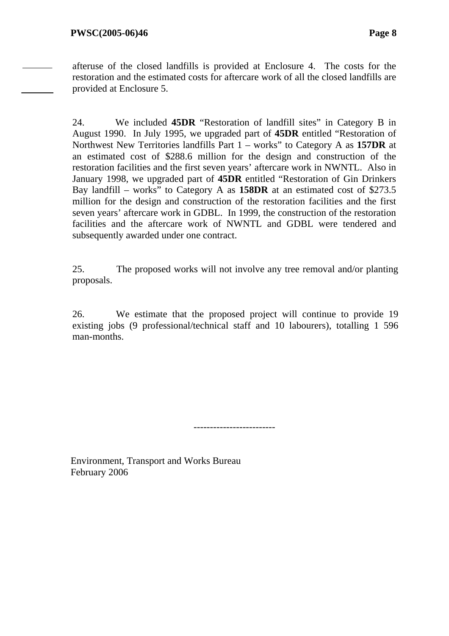afteruse of the closed landfills is provided at Enclosure 4. The costs for the restoration and the estimated costs for aftercare work of all the closed landfills are provided at Enclosure 5.

24. We included **45DR** "Restoration of landfill sites" in Category B in August 1990. In July 1995, we upgraded part of **45DR** entitled "Restoration of Northwest New Territories landfills Part 1 – works" to Category A as **157DR** at an estimated cost of \$288.6 million for the design and construction of the restoration facilities and the first seven years' aftercare work in NWNTL. Also in January 1998, we upgraded part of **45DR** entitled "Restoration of Gin Drinkers Bay landfill – works" to Category A as **158DR** at an estimated cost of \$273.5 million for the design and construction of the restoration facilities and the first seven years' aftercare work in GDBL. In 1999, the construction of the restoration facilities and the aftercare work of NWNTL and GDBL were tendered and subsequently awarded under one contract.

25. The proposed works will not involve any tree removal and/or planting proposals.

26. We estimate that the proposed project will continue to provide 19 existing jobs (9 professional/technical staff and 10 labourers), totalling 1 596 man-months.

-------------------------

Environment, Transport and Works Bureau February 2006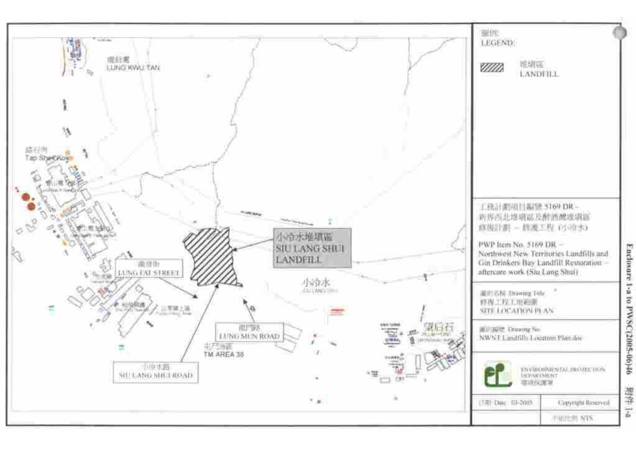

Enclosure 1-a to PWSC (2005-06)46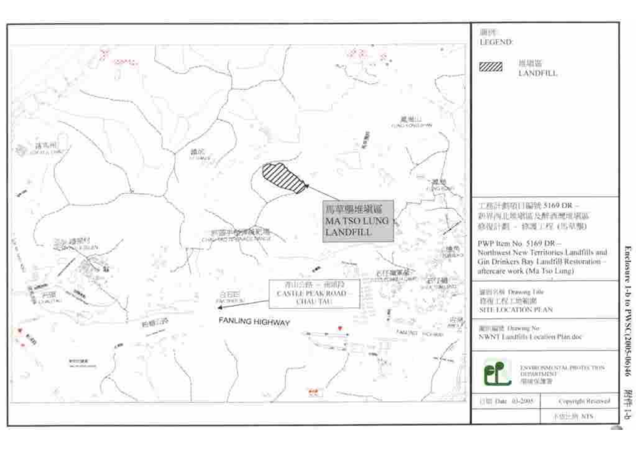

Enclosure 1-b to PWSC(2005-06)46

学生 1-5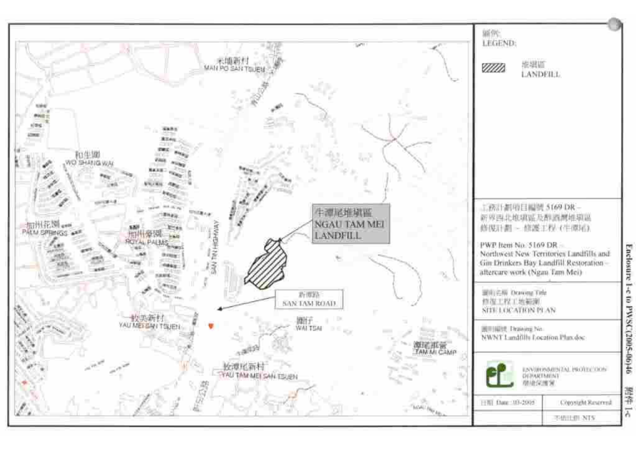

Enclosure 1-c to PWSC(2005-06)46

導体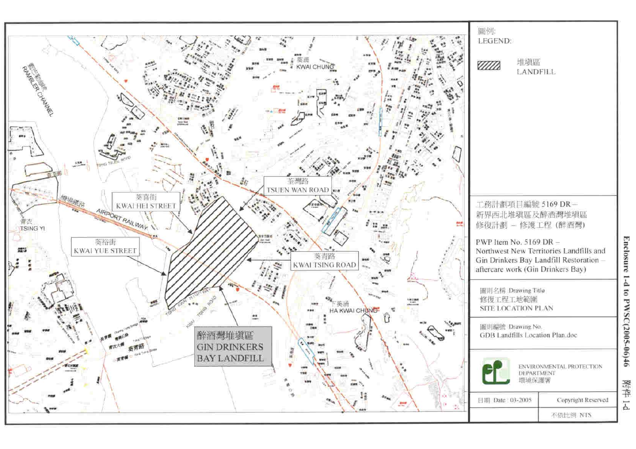

Enclosure 1-d to PWSC(2005-06)46

附件 1-d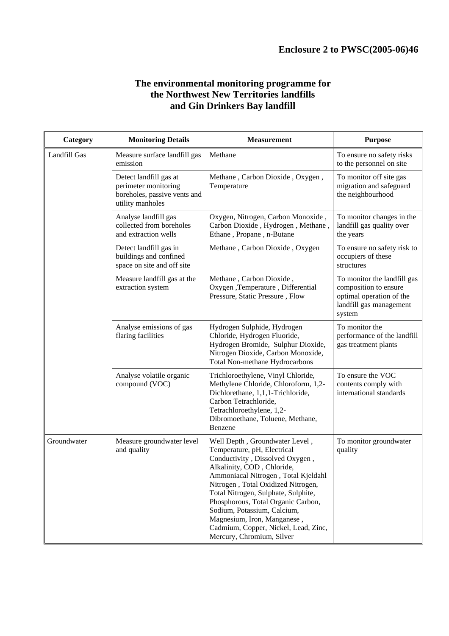#### **The environmental monitoring programme for the Northwest New Territories landfills and Gin Drinkers Bay landfill**

| <b>Monitoring Details</b><br>Category |                                                                                                    | <b>Measurement</b>                                                                                                                                                                                                                                                                                                                                                                                                          | <b>Purpose</b>                                                                                                        |
|---------------------------------------|----------------------------------------------------------------------------------------------------|-----------------------------------------------------------------------------------------------------------------------------------------------------------------------------------------------------------------------------------------------------------------------------------------------------------------------------------------------------------------------------------------------------------------------------|-----------------------------------------------------------------------------------------------------------------------|
| Landfill Gas                          | Measure surface landfill gas<br>emission                                                           | Methane                                                                                                                                                                                                                                                                                                                                                                                                                     | To ensure no safety risks<br>to the personnel on site                                                                 |
|                                       | Detect landfill gas at<br>perimeter monitoring<br>boreholes, passive vents and<br>utility manholes | Methane, Carbon Dioxide, Oxygen,<br>Temperature                                                                                                                                                                                                                                                                                                                                                                             | To monitor off site gas<br>migration and safeguard<br>the neighbourhood                                               |
|                                       | Analyse landfill gas<br>collected from boreholes<br>and extraction wells                           | Oxygen, Nitrogen, Carbon Monoxide,<br>Carbon Dioxide, Hydrogen, Methane,<br>Ethane, Propane, n-Butane                                                                                                                                                                                                                                                                                                                       | To monitor changes in the<br>landfill gas quality over<br>the years                                                   |
|                                       | Detect landfill gas in<br>buildings and confined<br>space on site and off site                     | Methane, Carbon Dioxide, Oxygen                                                                                                                                                                                                                                                                                                                                                                                             | To ensure no safety risk to<br>occupiers of these<br>structures                                                       |
|                                       | Measure landfill gas at the<br>extraction system                                                   | Methane, Carbon Dioxide,<br>Oxygen ,Temperature, Differential<br>Pressure, Static Pressure, Flow                                                                                                                                                                                                                                                                                                                            | To monitor the landfill gas<br>composition to ensure<br>optimal operation of the<br>landfill gas management<br>system |
|                                       | Analyse emissions of gas<br>flaring facilities                                                     | Hydrogen Sulphide, Hydrogen<br>Chloride, Hydrogen Fluoride,<br>Hydrogen Bromide, Sulphur Dioxide,<br>Nitrogen Dioxide, Carbon Monoxide,<br>Total Non-methane Hydrocarbons                                                                                                                                                                                                                                                   | To monitor the<br>performance of the landfill<br>gas treatment plants                                                 |
|                                       | Analyse volatile organic<br>compound (VOC)                                                         | Trichloroethylene, Vinyl Chloride,<br>Methylene Chloride, Chloroform, 1,2-<br>Dichlorethane, 1,1,1-Trichloride,<br>Carbon Tetrachloride,<br>Tetrachloroethylene, 1,2-<br>Dibromoethane, Toluene, Methane,<br>Benzene                                                                                                                                                                                                        | To ensure the VOC<br>contents comply with<br>international standards                                                  |
| Groundwater                           | Measure groundwater level<br>and quality                                                           | Well Depth, Groundwater Level,<br>Temperature, pH, Electrical<br>Conductivity, Dissolved Oxygen,<br>Alkalinity, COD, Chloride,<br>Ammoniacal Nitrogen, Total Kjeldahl<br>Nitrogen, Total Oxidized Nitrogen,<br>Total Nitrogen, Sulphate, Sulphite,<br>Phosphorous, Total Organic Carbon,<br>Sodium, Potassium, Calcium,<br>Magnesium, Iron, Manganese,<br>Cadmium, Copper, Nickel, Lead, Zinc,<br>Mercury, Chromium, Silver | To monitor groundwater<br>quality                                                                                     |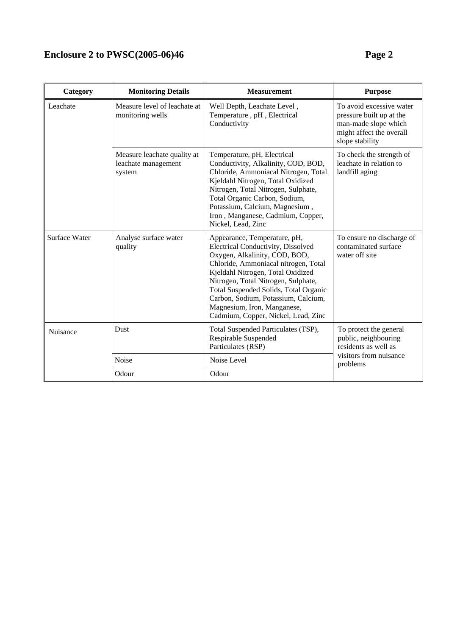## **Enclosure 2 to PWSC(2005-06)46** Page 2

| Category      | <b>Monitoring Details</b>                                    | <b>Measurement</b>                                                                                                                                                                                                                                                                                                                                                            | <b>Purpose</b>                                                                                                              |  |
|---------------|--------------------------------------------------------------|-------------------------------------------------------------------------------------------------------------------------------------------------------------------------------------------------------------------------------------------------------------------------------------------------------------------------------------------------------------------------------|-----------------------------------------------------------------------------------------------------------------------------|--|
| Leachate      | Measure level of leachate at<br>monitoring wells             | Well Depth, Leachate Level,<br>Temperature, pH, Electrical<br>Conductivity                                                                                                                                                                                                                                                                                                    | To avoid excessive water<br>pressure built up at the<br>man-made slope which<br>might affect the overall<br>slope stability |  |
|               | Measure leachate quality at<br>leachate management<br>system | Temperature, pH, Electrical<br>Conductivity, Alkalinity, COD, BOD,<br>Chloride, Ammoniacal Nitrogen, Total<br>Kjeldahl Nitrogen, Total Oxidized<br>Nitrogen, Total Nitrogen, Sulphate,<br>Total Organic Carbon, Sodium,<br>Potassium, Calcium, Magnesium,<br>Iron, Manganese, Cadmium, Copper,<br>Nickel, Lead, Zinc                                                          | To check the strength of<br>leachate in relation to<br>landfill aging                                                       |  |
| Surface Water | Analyse surface water<br>quality                             | Appearance, Temperature, pH,<br>Electrical Conductivity, Dissolved<br>Oxygen, Alkalinity, COD, BOD,<br>Chloride, Ammoniacal nitrogen, Total<br>Kjeldahl Nitrogen, Total Oxidized<br>Nitrogen, Total Nitrogen, Sulphate,<br>Total Suspended Solids, Total Organic<br>Carbon, Sodium, Potassium, Calcium,<br>Magnesium, Iron, Manganese,<br>Cadmium, Copper, Nickel, Lead, Zinc | To ensure no discharge of<br>contaminated surface<br>water off site                                                         |  |
| Nuisance      | Dust                                                         | Total Suspended Particulates (TSP),<br>Respirable Suspended<br>Particulates (RSP)                                                                                                                                                                                                                                                                                             | To protect the general<br>public, neighbouring<br>residents as well as                                                      |  |
|               | Noise                                                        | Noise Level                                                                                                                                                                                                                                                                                                                                                                   | visitors from nuisance<br>problems                                                                                          |  |
|               | Odour                                                        | Odour                                                                                                                                                                                                                                                                                                                                                                         |                                                                                                                             |  |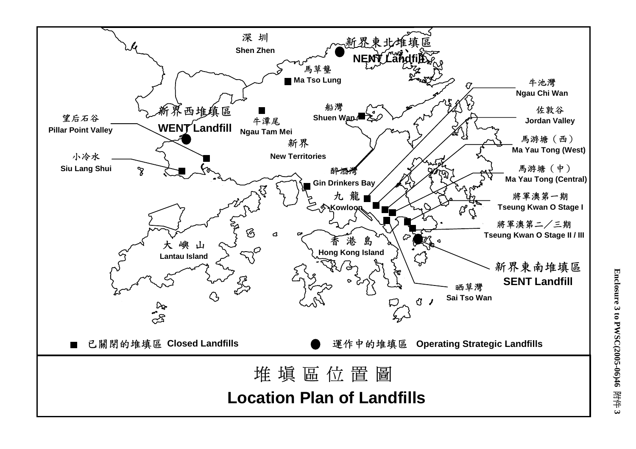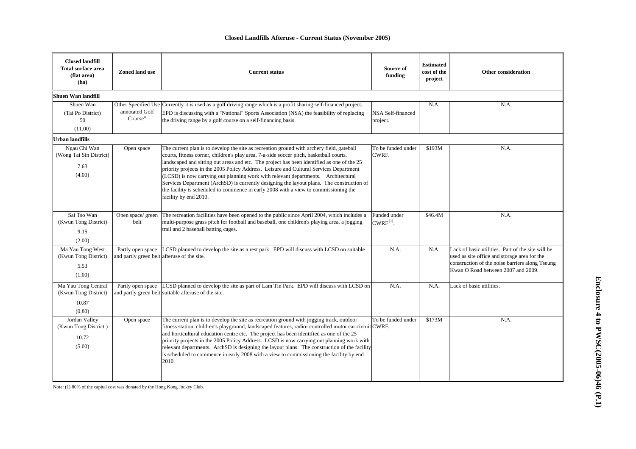|  |  | Closed Landfills Afteruse - Current Status (November 2005) |  |  |
|--|--|------------------------------------------------------------|--|--|
|--|--|------------------------------------------------------------|--|--|

| <b>Closed landfill</b><br><b>Total surface area</b><br>(flat area)<br>(ha) | Zoned land use                                                   | <b>Current status</b>                                                                                                                                                                                                                                                                                                                                                                                                                                                                                                                                                                                                                                                           | Source of<br>funding           | <b>Estimated</b><br>cost of the<br>project | Other consideration                                                                                                                                                                        |
|----------------------------------------------------------------------------|------------------------------------------------------------------|---------------------------------------------------------------------------------------------------------------------------------------------------------------------------------------------------------------------------------------------------------------------------------------------------------------------------------------------------------------------------------------------------------------------------------------------------------------------------------------------------------------------------------------------------------------------------------------------------------------------------------------------------------------------------------|--------------------------------|--------------------------------------------|--------------------------------------------------------------------------------------------------------------------------------------------------------------------------------------------|
| Shuen Wan landfill                                                         |                                                                  |                                                                                                                                                                                                                                                                                                                                                                                                                                                                                                                                                                                                                                                                                 |                                |                                            |                                                                                                                                                                                            |
| Shuen Wan<br>(Tai Po District)<br>50<br>(11.00)                            | annotated Golf<br>Course"                                        | Other Specified Use Currently it is used as a golf driving range which is a profit sharing self-financed project.<br>EPD is discussing with a "National" Sports Association (NSA) the feasibility of replacing<br>the driving range by a golf course on a self-financing basis.                                                                                                                                                                                                                                                                                                                                                                                                 | NSA Self-financed<br>project.  | N.A.                                       | N.A.                                                                                                                                                                                       |
| <b>Urban landfills</b>                                                     |                                                                  |                                                                                                                                                                                                                                                                                                                                                                                                                                                                                                                                                                                                                                                                                 |                                |                                            |                                                                                                                                                                                            |
| Ngau Chi Wan<br>(Wong Tai Sin District)<br>7.63<br>(4.00)                  | Open space                                                       | The current plan is to develop the site as recreation ground with archery field, gateball<br>courts, fitness corner, children's play area, 7-a-side soccer pitch, basketball courts,<br>landscaped and sitting out areas and etc. The project has been identified as one of the 25<br>priority projects in the 2005 Policy Address. Leisure and Cultural Services Department<br>(LCSD) is now carrying out planning work with relevant departments. Architectural<br>Services Department (ArchSD) is currently designing the layout plans. The construction of<br>the facility is scheduled to commence in early 2008 with a view to commissioning the<br>facility by end 2010. | To be funded under<br>CWRF.    | \$193M                                     | N.A.                                                                                                                                                                                       |
| Sai Tso Wan<br>(Kwun Tong District)<br>9.15<br>(2.00)                      | belt                                                             | Open space/ green The recreation facilities have been opened to the public since April 2004, which includes a<br>multi-purpose grass pitch for football and baseball, one children's playing area, a jogging<br>trail and 2 baseball batting cages.                                                                                                                                                                                                                                                                                                                                                                                                                             | Funded under<br>$CWRF^{(1)}$ . | \$46.4M                                    | N.A.                                                                                                                                                                                       |
| Ma Yau Tong West<br>(Kwun Tong District)<br>5.53<br>(1.00)                 | Partly open space<br>and partly green belt afteruse of the site. | LCSD planned to develop the site as a rest park. EPD will discuss with LCSD on suitable                                                                                                                                                                                                                                                                                                                                                                                                                                                                                                                                                                                         | N.A.                           | N.A.                                       | Lack of basic utilities. Part of the site will be<br>used as site office and storage area for the<br>construction of the noise barriers along Tseung<br>Kwan O Road between 2007 and 2009. |
| Ma Yau Tong Central<br>(Kwun Tong District)<br>10.87<br>(0.80)             |                                                                  | Partly open space LCSD planned to develop the site as part of Lam Tin Park. EPD will discuss with LCSD on<br>and partly green belt suitable afteruse of the site.                                                                                                                                                                                                                                                                                                                                                                                                                                                                                                               | N.A.                           | N.A.                                       | Lack of basic utilities.                                                                                                                                                                   |
| Jordan Valley<br>(Kwun Tong District)<br>10.72<br>(5.00)                   | Open space                                                       | The current plan is to develop the site as recreation ground with jogging track, outdoor<br>fitness station, children's playground, landscaped features, radio-controlled motor car circuit CWRF.<br>and horticultural education centre etc. The project has been identified as one of the 25<br>priority projects in the 2005 Policy Address. LCSD is now carrying out planning work with<br>relevant departments. ArchSD is designing the layout plans. The construction of the facility<br>is scheduled to commence in early 2008 with a view to commissioning the facility by end<br>2010.                                                                                  | To be funded under             | \$173M                                     | N.A.                                                                                                                                                                                       |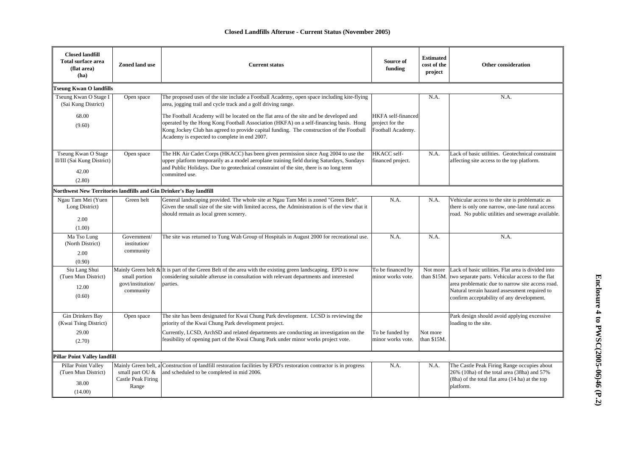#### **Closed Landfills Afteruse - Current Status (November 2005)**

| <b>Closed landfill</b><br><b>Total surface area</b><br>(flat area)<br>(ha) | Zoned land use                                                                | <b>Current status</b>                                                                                                                                                                                                                                                                                                       | Source of<br>funding                                       | <b>Estimated</b><br>cost of the<br>project | <b>Other consideration</b>                                                                                                                                                                                                                               |  |  |
|----------------------------------------------------------------------------|-------------------------------------------------------------------------------|-----------------------------------------------------------------------------------------------------------------------------------------------------------------------------------------------------------------------------------------------------------------------------------------------------------------------------|------------------------------------------------------------|--------------------------------------------|----------------------------------------------------------------------------------------------------------------------------------------------------------------------------------------------------------------------------------------------------------|--|--|
| <b>Tseung Kwan O landfills</b>                                             |                                                                               |                                                                                                                                                                                                                                                                                                                             |                                                            |                                            |                                                                                                                                                                                                                                                          |  |  |
| Tseung Kwan O Stage I<br>(Sai Kung District)                               | Open space                                                                    | The proposed uses of the site include a Football Academy, open space including kite-flying<br>area, jogging trail and cycle track and a golf driving range.                                                                                                                                                                 |                                                            | N.A.                                       | N.A.                                                                                                                                                                                                                                                     |  |  |
| 68.00<br>(9.60)                                                            |                                                                               | The Football Academy will be located on the flat area of the site and be developed and<br>operated by the Hong Kong Football Association (HKFA) on a self-financing basis. Hong<br>Kong Jockey Club has agreed to provide capital funding. The construction of the Football<br>Academy is expected to complete in end 2007. | HKFA self-financed<br>project for the<br>Football Academy. |                                            |                                                                                                                                                                                                                                                          |  |  |
| Tseung Kwan O Stage<br>II/III (Sai Kung District)<br>42.00<br>(2.80)       | Open space                                                                    | The HK Air Cadet Corps (HKACC) has been given permission since Aug 2004 to use the<br>upper platform temporarily as a model aeroplane training field during Saturdays, Sundays<br>and Public Holidays. Due to geotechnical constraint of the site, there is no long term<br>committed use.                                  | HKACC self-<br>financed project.                           | N.A.                                       | Lack of basic utilities. Geotechnical constraint<br>affecting site access to the top platform.                                                                                                                                                           |  |  |
| Northwest New Territories landfills and Gin Drinker's Bay landfill         |                                                                               |                                                                                                                                                                                                                                                                                                                             |                                                            |                                            |                                                                                                                                                                                                                                                          |  |  |
| Ngau Tam Mei (Yuen<br>Long District)<br>2.00<br>(1.00)                     | Green belt                                                                    | General landscaping provided. The whole site at Ngau Tam Mei is zoned "Green Belt".<br>Given the small size of the site with limited access, the Administration is of the view that it<br>should remain as local green scenery.                                                                                             | N.A.                                                       | N.A.                                       | Vehicular access to the site is problematic as<br>there is only one narrow, one-lane rural access<br>road. No public utilities and sewerage available.                                                                                                   |  |  |
| Ma Tso Lung<br>(North District)<br>2.00<br>(0.90)                          | Government/<br>institution/<br>community                                      | The site was returned to Tung Wah Group of Hospitals in August 2000 for recreational use.                                                                                                                                                                                                                                   | N.A.                                                       | N.A.                                       | N.A.                                                                                                                                                                                                                                                     |  |  |
| Siu Lang Shui<br>(Tuen Mun District)<br>12.00<br>(0.60)                    | small portion<br>govt/institution/<br>community                               | Mainly Green belt & It is part of the Green Belt of the area with the existing green landscaping. EPD is now<br>considering suitable afteruse in consultation with relevant departments and interested<br>parties.                                                                                                          | To be financed by<br>minor works vote.                     | Not more<br>than \$15M.                    | Lack of basic utilities. Flat area is divided into<br>two separate parts. Vehicular access to the flat<br>area problematic due to narrow site access road.<br>Natural terrain hazard assessment required to<br>confirm acceptability of any development. |  |  |
| Gin Drinkers Bay<br>(Kwai Tsing District)<br>29.00<br>(2.70)               | Open space                                                                    | The site has been designated for Kwai Chung Park development. LCSD is reviewing the<br>priority of the Kwai Chung Park development project.<br>Currently, LCSD, ArchSD and related departments are conducting an investigation on the<br>feasibility of opening part of the Kwai Chung Park under minor works project vote. | To be funded by<br>minor works vote.                       | Not more<br>than \$15M.                    | Park design should avoid applying excessive<br>loading to the site.                                                                                                                                                                                      |  |  |
|                                                                            |                                                                               |                                                                                                                                                                                                                                                                                                                             |                                                            |                                            |                                                                                                                                                                                                                                                          |  |  |
| Pillar Point Valley landfill                                               |                                                                               |                                                                                                                                                                                                                                                                                                                             |                                                            |                                            |                                                                                                                                                                                                                                                          |  |  |
| Pillar Point Valley<br>(Tuen Mun District)<br>38.00<br>(14.00)             | Mainly Green belt, a<br>small part OU &<br><b>Castle Peak Firing</b><br>Range | Construction of landfill restoration facilities by EPD's restoration contractor is in progress<br>and scheduled to be completed in mid 2006.                                                                                                                                                                                | N.A.                                                       | N.A.                                       | The Castle Peak Firing Range occupies about<br>26% (10ha) of the total area (38ha) and 57%<br>(8ha) of the total flat area (14 ha) at the top<br>platform.                                                                                               |  |  |